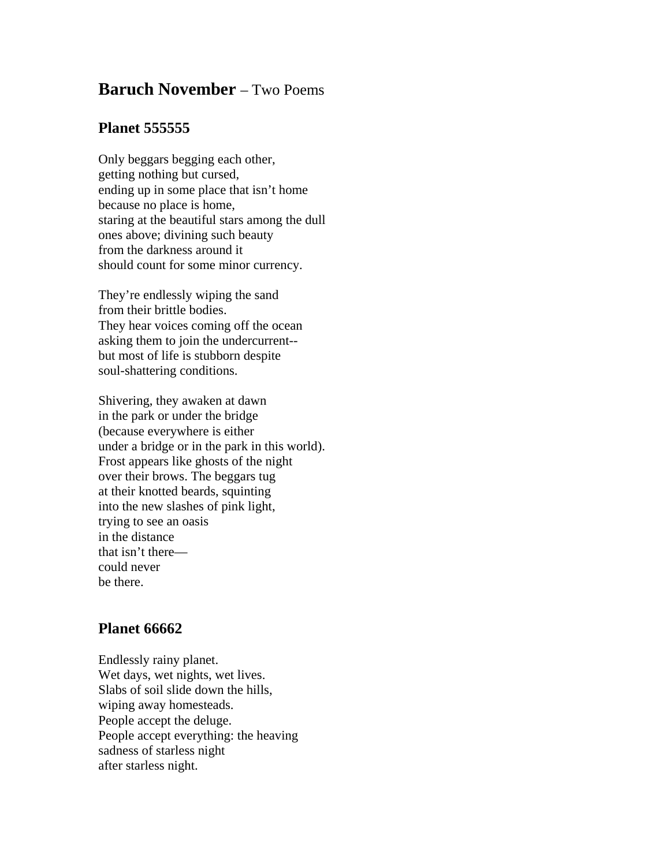## **Baruch November** – Two Poems

## **Planet 555555**

Only beggars begging each other, getting nothing but cursed, ending up in some place that isn't home because no place is home, staring at the beautiful stars among the dull ones above; divining such beauty from the darkness around it should count for some minor currency.

They're endlessly wiping the sand from their brittle bodies. They hear voices coming off the ocean asking them to join the undercurrent- but most of life is stubborn despite soul-shattering conditions.

Shivering, they awaken at dawn in the park or under the bridge (because everywhere is either under a bridge or in the park in this world). Frost appears like ghosts of the night over their brows. The beggars tug at their knotted beards, squinting into the new slashes of pink light, trying to see an oasis in the distance that isn't there could never be there.

## **Planet 66662**

Endlessly rainy planet. Wet days, wet nights, wet lives. Slabs of soil slide down the hills, wiping away homesteads. People accept the deluge. People accept everything: the heaving sadness of starless night after starless night.